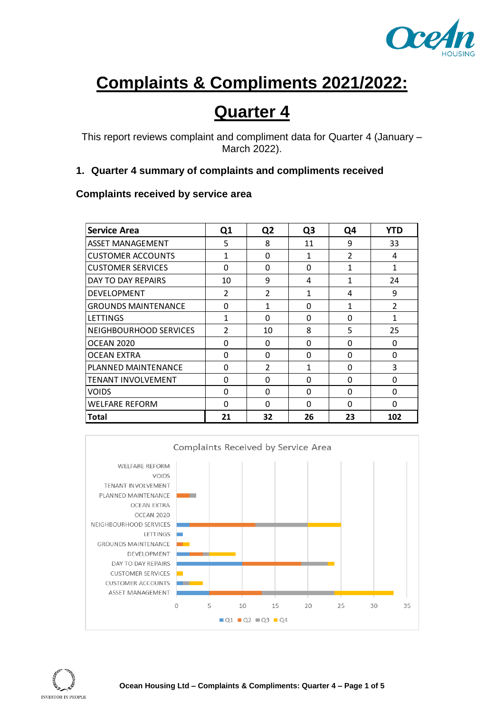

# **Complaints & Compliments 2021/2022:**

## **Quarter 4**

This report reviews complaint and compliment data for Quarter 4 (January – March 2022).

#### **1. Quarter 4 summary of complaints and compliments received**

### **Complaints received by service area**

| <b>Service Area</b>       | Q1             | Q <sub>2</sub> | Q <sub>3</sub> | Q4             | <b>YTD</b>     |
|---------------------------|----------------|----------------|----------------|----------------|----------------|
| ASSET MANAGEMENT          | 5              | 8              | 11             | 9              | 33             |
| CUSTOMER ACCOUNTS         | $\mathbf{1}$   | $\Omega$       | 1              | $\mathfrak{p}$ | 4              |
| <b>CUSTOMER SERVICES</b>  | $\Omega$       | $\Omega$       | 0              | 1              | 1              |
| DAY TO DAY REPAIRS        | 10             | 9              | 4              | 1              | 24             |
| <b>DEVELOPMENT</b>        | $\mathcal{P}$  | $\mathfrak{p}$ | 1              | 4              | 9              |
| GROUNDS MAINTENANCE       | $\Omega$       | 1              | 0              | 1              | $\overline{2}$ |
| LETTINGS                  | 1              | $\Omega$       | 0              | 0              | 1              |
| NEIGHBOURHOOD SERVICES    | $\mathfrak{p}$ | 10             | 8              | 5              | 25             |
| OCEAN 2020                | <sup>0</sup>   | 0              | 0              | O              | 0              |
| OCEAN EXTRA               | $\Omega$       | $\Omega$       | $\Omega$       | $\Omega$       | $\Omega$       |
| PLANNED MAINTENANCE       | <sup>0</sup>   | $\mathfrak{p}$ | 1              | <sup>0</sup>   | 3              |
| <b>TENANT INVOLVEMENT</b> | $\Omega$       | O              | 0              | O              | O              |
| <b>VOIDS</b>              | <sup>0</sup>   | O              | 0              | O              | O              |
| WELFARE REFORM            | $\Omega$       | $\Omega$       | 0              | 0              | $\Omega$       |
| Total                     | 21             | 32             | 26             | 23             | 102            |

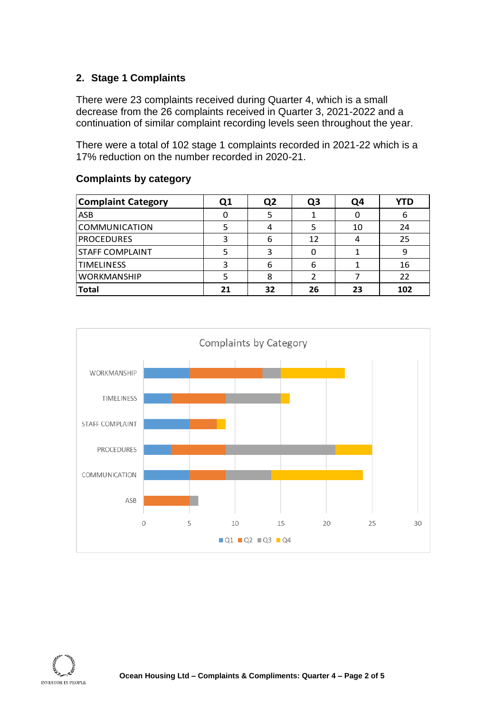#### **2. Stage 1 Complaints**

There were 23 complaints received during Quarter 4, which is a small decrease from the 26 complaints received in Quarter 3, 2021-2022 and a continuation of similar complaint recording levels seen throughout the year.

There were a total of 102 stage 1 complaints recorded in 2021-22 which is a 17% reduction on the number recorded in 2020-21.

#### **Complaints by category**

| <b>Complaint Category</b> | Q1 | Q <sub>2</sub> | Q3 | Q4 | YTD |
|---------------------------|----|----------------|----|----|-----|
| <b>ASB</b>                |    |                |    |    | 6   |
| COMMUNICATION             |    |                |    | 10 | 24  |
| <b>PROCEDURES</b>         |    |                | 12 |    | 25  |
| <b>STAFF COMPLAINT</b>    |    |                |    |    |     |
| <b>TIMELINESS</b>         |    | 6              | 6  |    | 16  |
| <b>WORKMANSHIP</b>        |    |                |    |    | 22  |
| Total                     | 21 | 32             | 26 | 23 | 102 |



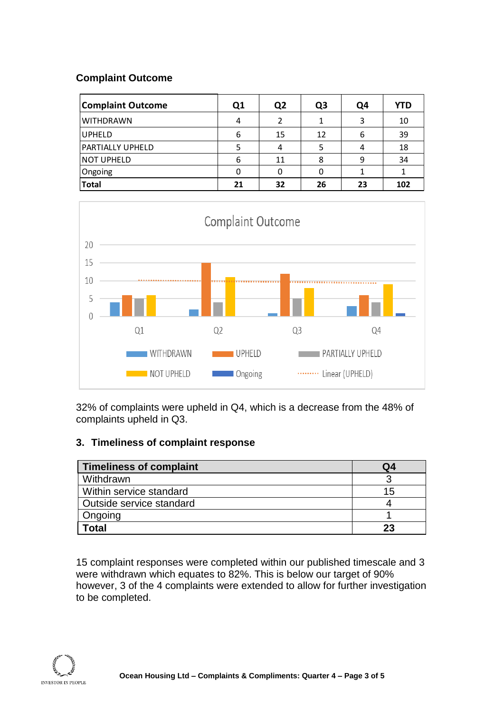#### **Complaint Outcome**

| <b>Complaint Outcome</b> | Q1 | Q <sub>2</sub> | Q <sub>3</sub> | Q4       | YTD |
|--------------------------|----|----------------|----------------|----------|-----|
| <b>WITHDRAWN</b>         | 4  | 2              |                | <b>ว</b> | 10  |
| <b>UPHELD</b>            | 6  | 15             | 12             |          | 39  |
| <b>PARTIALLY UPHELD</b>  |    |                | 5              |          | 18  |
| <b>NOT UPHELD</b>        | 6  | 11             | 8              | 9        | 34  |
| Ongoing                  | 0  |                |                |          |     |
| <b>Total</b>             | 21 | 32             | 26             | 23       | 102 |



32% of complaints were upheld in Q4, which is a decrease from the 48% of complaints upheld in Q3.

#### **3. Timeliness of complaint response**

| <b>Timeliness of complaint</b> | Q4 |
|--------------------------------|----|
| Withdrawn                      |    |
| Within service standard        | 15 |
| Outside service standard       |    |
| Ongoing                        |    |
| Total                          | 23 |

15 complaint responses were completed within our published timescale and 3 were withdrawn which equates to 82%. This is below our target of 90% however, 3 of the 4 complaints were extended to allow for further investigation to be completed.

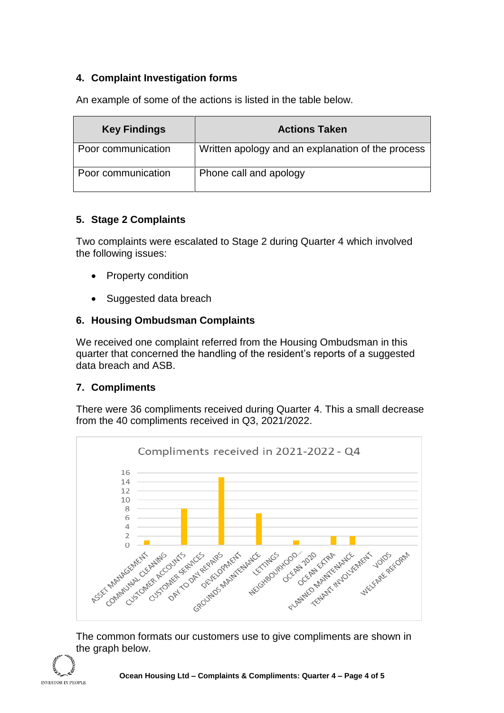#### **4. Complaint Investigation forms**

An example of some of the actions is listed in the table below.

| <b>Key Findings</b> | <b>Actions Taken</b>                              |
|---------------------|---------------------------------------------------|
| Poor communication  | Written apology and an explanation of the process |
| Poor communication  | Phone call and apology                            |

#### **5. Stage 2 Complaints**

Two complaints were escalated to Stage 2 during Quarter 4 which involved the following issues:

- Property condition
- Suggested data breach

#### **6. Housing Ombudsman Complaints**

We received one complaint referred from the Housing Ombudsman in this quarter that concerned the handling of the resident's reports of a suggested data breach and ASB.

#### **7. Compliments**

There were 36 compliments received during Quarter 4. This a small decrease from the 40 compliments received in Q3, 2021/2022.



The common formats our customers use to give compliments are shown in the graph below.